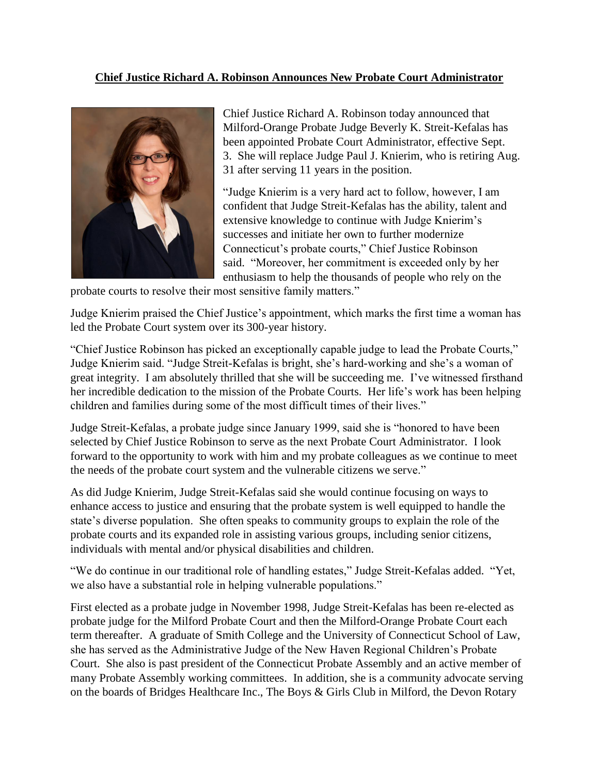## **Chief Justice Richard A. Robinson Announces New Probate Court Administrator**



Chief Justice Richard A. Robinson today announced that Milford-Orange Probate Judge Beverly K. Streit-Kefalas has been appointed Probate Court Administrator, effective Sept. 3. She will replace Judge Paul J. Knierim, who is retiring Aug. 31 after serving 11 years in the position.

"Judge Knierim is a very hard act to follow, however, I am confident that Judge Streit-Kefalas has the ability, talent and extensive knowledge to continue with Judge Knierim's successes and initiate her own to further modernize Connecticut's probate courts," Chief Justice Robinson said. "Moreover, her commitment is exceeded only by her enthusiasm to help the thousands of people who rely on the

probate courts to resolve their most sensitive family matters."

Judge Knierim praised the Chief Justice's appointment, which marks the first time a woman has led the Probate Court system over its 300-year history.

"Chief Justice Robinson has picked an exceptionally capable judge to lead the Probate Courts," Judge Knierim said. "Judge Streit-Kefalas is bright, she's hard-working and she's a woman of great integrity. I am absolutely thrilled that she will be succeeding me. I've witnessed firsthand her incredible dedication to the mission of the Probate Courts. Her life's work has been helping children and families during some of the most difficult times of their lives."

Judge Streit-Kefalas, a probate judge since January 1999, said she is "honored to have been selected by Chief Justice Robinson to serve as the next Probate Court Administrator. I look forward to the opportunity to work with him and my probate colleagues as we continue to meet the needs of the probate court system and the vulnerable citizens we serve."

As did Judge Knierim, Judge Streit-Kefalas said she would continue focusing on ways to enhance access to justice and ensuring that the probate system is well equipped to handle the state's diverse population. She often speaks to community groups to explain the role of the probate courts and its expanded role in assisting various groups, including senior citizens, individuals with mental and/or physical disabilities and children.

"We do continue in our traditional role of handling estates," Judge Streit-Kefalas added. "Yet, we also have a substantial role in helping vulnerable populations."

First elected as a probate judge in November 1998, Judge Streit-Kefalas has been re-elected as probate judge for the Milford Probate Court and then the Milford-Orange Probate Court each term thereafter. A graduate of Smith College and the University of Connecticut School of Law, she has served as the Administrative Judge of the New Haven Regional Children's Probate Court. She also is past president of the Connecticut Probate Assembly and an active member of many Probate Assembly working committees. In addition, she is a community advocate serving on the boards of Bridges Healthcare Inc., The Boys & Girls Club in Milford, the Devon Rotary